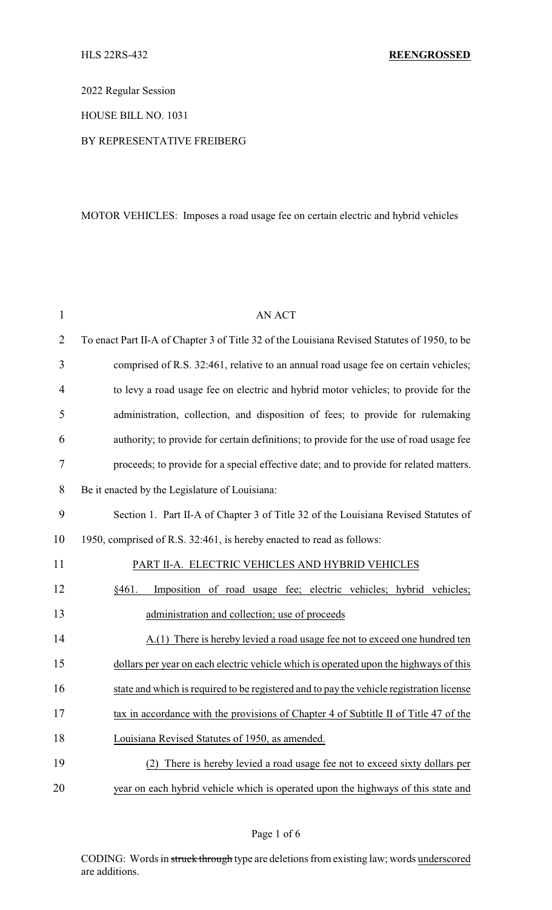2022 Regular Session

HOUSE BILL NO. 1031

## BY REPRESENTATIVE FREIBERG

## MOTOR VEHICLES: Imposes a road usage fee on certain electric and hybrid vehicles

| $\mathbf{1}$   | <b>AN ACT</b>                                                                                |
|----------------|----------------------------------------------------------------------------------------------|
| $\overline{2}$ | To enact Part II-A of Chapter 3 of Title 32 of the Louisiana Revised Statutes of 1950, to be |
| 3              | comprised of R.S. 32:461, relative to an annual road usage fee on certain vehicles;          |
| $\overline{4}$ | to levy a road usage fee on electric and hybrid motor vehicles; to provide for the           |
| 5              | administration, collection, and disposition of fees; to provide for rulemaking               |
| 6              | authority; to provide for certain definitions; to provide for the use of road usage fee      |
| 7              | proceeds; to provide for a special effective date; and to provide for related matters.       |
| 8              | Be it enacted by the Legislature of Louisiana:                                               |
| 9              | Section 1. Part II-A of Chapter 3 of Title 32 of the Louisiana Revised Statutes of           |
| 10             | 1950, comprised of R.S. 32:461, is hereby enacted to read as follows:                        |
| 11             | PART II-A. ELECTRIC VEHICLES AND HYBRID VEHICLES                                             |
| 12             | §461.<br>Imposition of road usage fee; electric vehicles; hybrid vehicles;                   |
| 13             | administration and collection; use of proceeds                                               |
| 14             | A.(1) There is hereby levied a road usage fee not to exceed one hundred ten                  |
| 15             | dollars per year on each electric vehicle which is operated upon the highways of this        |
| 16             | state and which is required to be registered and to pay the vehicle registration license     |
| 17             | tax in accordance with the provisions of Chapter 4 of Subtitle II of Title 47 of the         |
| 18             | Louisiana Revised Statutes of 1950, as amended.                                              |
| 19             | There is hereby levied a road usage fee not to exceed sixty dollars per                      |
| 20             | year on each hybrid vehicle which is operated upon the highways of this state and            |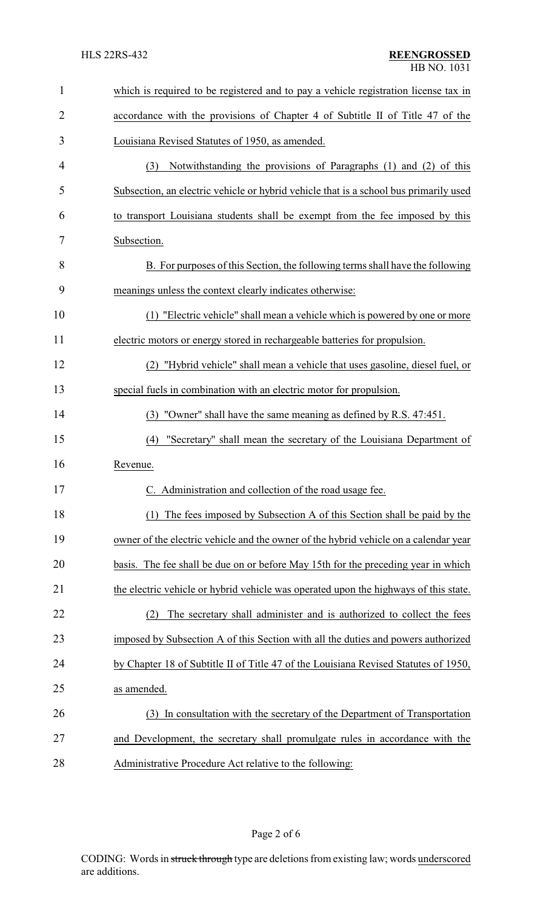| $\mathbf{1}$   | which is required to be registered and to pay a vehicle registration license tax in   |
|----------------|---------------------------------------------------------------------------------------|
| $\overline{2}$ | accordance with the provisions of Chapter 4 of Subtitle II of Title 47 of the         |
| 3              | Louisiana Revised Statutes of 1950, as amended.                                       |
| 4              | Notwithstanding the provisions of Paragraphs (1) and (2) of this<br>(3)               |
| 5              | Subsection, an electric vehicle or hybrid vehicle that is a school bus primarily used |
| 6              | to transport Louisiana students shall be exempt from the fee imposed by this          |
| 7              | Subsection.                                                                           |
| 8              | B. For purposes of this Section, the following terms shall have the following         |
| 9              | meanings unless the context clearly indicates otherwise:                              |
| 10             | (1) "Electric vehicle" shall mean a vehicle which is powered by one or more           |
| 11             | electric motors or energy stored in rechargeable batteries for propulsion.            |
| 12             | "Hybrid vehicle" shall mean a vehicle that uses gasoline, diesel fuel, or<br>(2)      |
| 13             | special fuels in combination with an electric motor for propulsion.                   |
| 14             | (3) "Owner" shall have the same meaning as defined by R.S. 47:451.                    |
| 15             | "Secretary" shall mean the secretary of the Louisiana Department of<br>(4)            |
| 16             | Revenue.                                                                              |
| 17             | Administration and collection of the road usage fee.                                  |
| 18             | The fees imposed by Subsection A of this Section shall be paid by the                 |
| 19             | owner of the electric vehicle and the owner of the hybrid vehicle on a calendar year  |
| 20             | basis. The fee shall be due on or before May 15th for the preceding year in which     |
| 21             | the electric vehicle or hybrid vehicle was operated upon the highways of this state.  |
| 22             | The secretary shall administer and is authorized to collect the fees<br>(2)           |
| 23             | imposed by Subsection A of this Section with all the duties and powers authorized     |
| 24             | by Chapter 18 of Subtitle II of Title 47 of the Louisiana Revised Statutes of 1950,   |
| 25             | as amended.                                                                           |
| 26             | In consultation with the secretary of the Department of Transportation<br>(3)         |
| 27             | and Development, the secretary shall promulgate rules in accordance with the          |
| 28             | Administrative Procedure Act relative to the following:                               |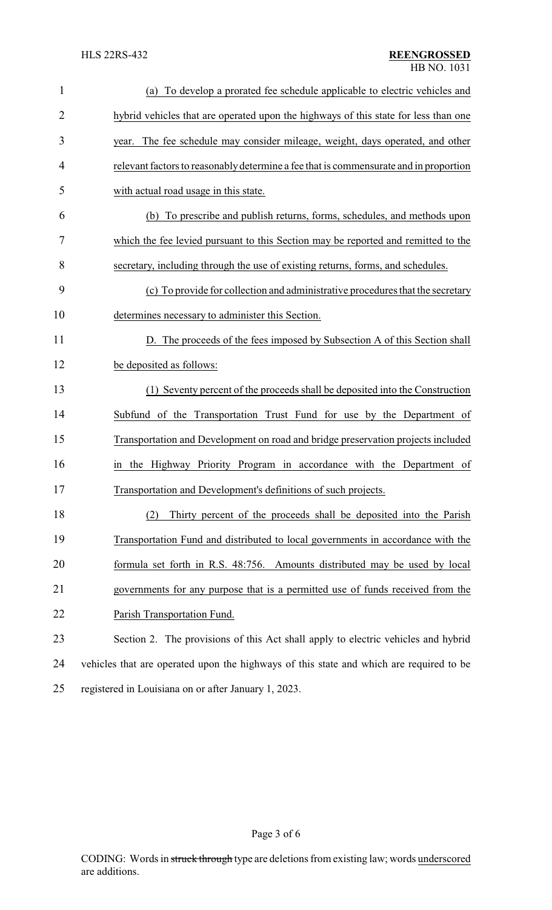| $\mathbf{1}$   | To develop a prorated fee schedule applicable to electric vehicles and<br>(a)           |
|----------------|-----------------------------------------------------------------------------------------|
| $\overline{2}$ | hybrid vehicles that are operated upon the highways of this state for less than one     |
| 3              | year. The fee schedule may consider mileage, weight, days operated, and other           |
| 4              | relevant factors to reasonably determine a fee that is commensurate and in proportion   |
| 5              | with actual road usage in this state.                                                   |
| 6              | To prescribe and publish returns, forms, schedules, and methods upon<br>(b)             |
| 7              | which the fee levied pursuant to this Section may be reported and remitted to the       |
| 8              | secretary, including through the use of existing returns, forms, and schedules.         |
| 9              | (c) To provide for collection and administrative procedures that the secretary          |
| 10             | determines necessary to administer this Section.                                        |
| 11             | D. The proceeds of the fees imposed by Subsection A of this Section shall               |
| 12             | be deposited as follows:                                                                |
| 13             | (1) Seventy percent of the proceeds shall be deposited into the Construction            |
| 14             | Subfund of the Transportation Trust Fund for use by the Department of                   |
| 15             | Transportation and Development on road and bridge preservation projects included        |
| 16             | in the Highway Priority Program in accordance with the Department of                    |
| 17             | Transportation and Development's definitions of such projects.                          |
| 18             | Thirty percent of the proceeds shall be deposited into the Parish<br>(2)                |
| 19             | Transportation Fund and distributed to local governments in accordance with the         |
| 20             | formula set forth in R.S. 48:756. Amounts distributed may be used by local              |
| 21             | governments for any purpose that is a permitted use of funds received from the          |
| 22             | Parish Transportation Fund.                                                             |
| 23             | Section 2. The provisions of this Act shall apply to electric vehicles and hybrid       |
| 24             | vehicles that are operated upon the highways of this state and which are required to be |
| 25             | registered in Louisiana on or after January 1, 2023.                                    |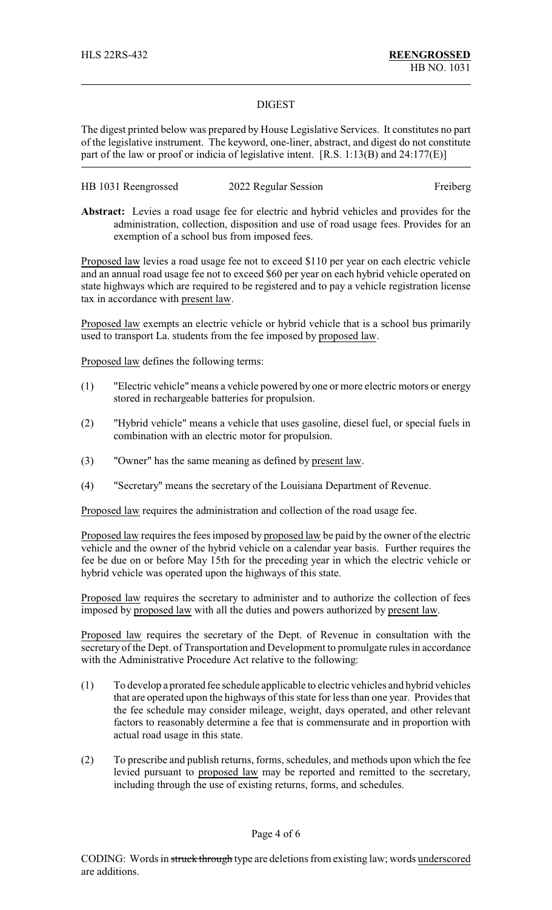## DIGEST

The digest printed below was prepared by House Legislative Services. It constitutes no part of the legislative instrument. The keyword, one-liner, abstract, and digest do not constitute part of the law or proof or indicia of legislative intent. [R.S. 1:13(B) and 24:177(E)]

| HB 1031 Reengrossed | 2022 Regular Session | Freiberg |
|---------------------|----------------------|----------|
|---------------------|----------------------|----------|

**Abstract:** Levies a road usage fee for electric and hybrid vehicles and provides for the administration, collection, disposition and use of road usage fees. Provides for an exemption of a school bus from imposed fees.

Proposed law levies a road usage fee not to exceed \$110 per year on each electric vehicle and an annual road usage fee not to exceed \$60 per year on each hybrid vehicle operated on state highways which are required to be registered and to pay a vehicle registration license tax in accordance with present law.

Proposed law exempts an electric vehicle or hybrid vehicle that is a school bus primarily used to transport La. students from the fee imposed by proposed law.

Proposed law defines the following terms:

- (1) "Electric vehicle" means a vehicle powered by one or more electric motors or energy stored in rechargeable batteries for propulsion.
- (2) "Hybrid vehicle" means a vehicle that uses gasoline, diesel fuel, or special fuels in combination with an electric motor for propulsion.
- (3) "Owner" has the same meaning as defined by present law.
- (4) "Secretary" means the secretary of the Louisiana Department of Revenue.

Proposed law requires the administration and collection of the road usage fee.

Proposed law requires the fees imposed by proposed law be paid by the owner of the electric vehicle and the owner of the hybrid vehicle on a calendar year basis. Further requires the fee be due on or before May 15th for the preceding year in which the electric vehicle or hybrid vehicle was operated upon the highways of this state.

Proposed law requires the secretary to administer and to authorize the collection of fees imposed by proposed law with all the duties and powers authorized by present law.

Proposed law requires the secretary of the Dept. of Revenue in consultation with the secretary of the Dept. of Transportation and Development to promulgate rules in accordance with the Administrative Procedure Act relative to the following:

- (1) To develop a prorated fee schedule applicable to electric vehicles and hybrid vehicles that are operated upon the highways of this state for less than one year. Provides that the fee schedule may consider mileage, weight, days operated, and other relevant factors to reasonably determine a fee that is commensurate and in proportion with actual road usage in this state.
- (2) To prescribe and publish returns, forms, schedules, and methods upon which the fee levied pursuant to proposed law may be reported and remitted to the secretary, including through the use of existing returns, forms, and schedules.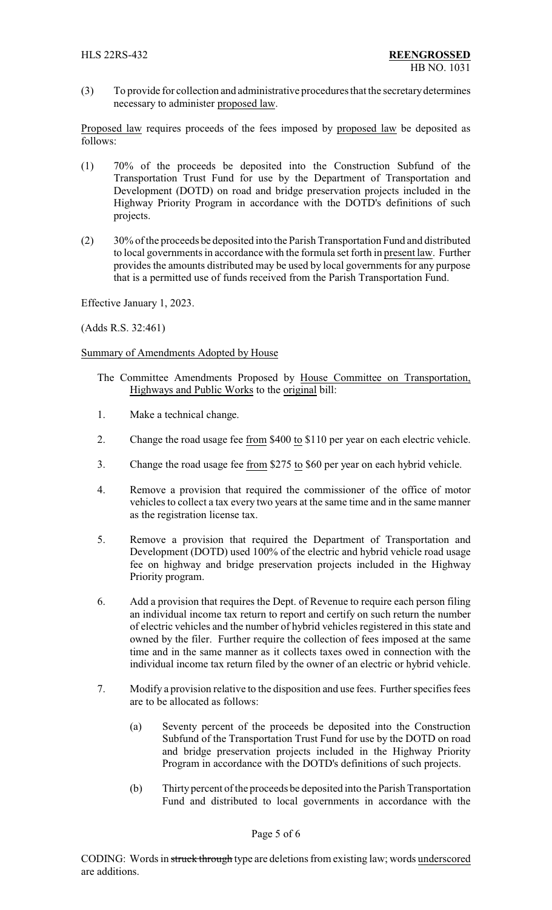(3) To provide for collection and administrative procedures that the secretarydetermines necessary to administer proposed law.

Proposed law requires proceeds of the fees imposed by proposed law be deposited as follows:

- (1) 70% of the proceeds be deposited into the Construction Subfund of the Transportation Trust Fund for use by the Department of Transportation and Development (DOTD) on road and bridge preservation projects included in the Highway Priority Program in accordance with the DOTD's definitions of such projects.
- (2) 30% of the proceeds be deposited into the Parish Transportation Fund and distributed to local governments in accordance with the formula set forth in present law. Further provides the amounts distributed may be used by local governments for any purpose that is a permitted use of funds received from the Parish Transportation Fund.

Effective January 1, 2023.

(Adds R.S. 32:461)

Summary of Amendments Adopted by House

- The Committee Amendments Proposed by House Committee on Transportation, Highways and Public Works to the original bill:
- 1. Make a technical change.
- 2. Change the road usage fee from \$400 to \$110 per year on each electric vehicle.
- 3. Change the road usage fee from \$275 to \$60 per year on each hybrid vehicle.
- 4. Remove a provision that required the commissioner of the office of motor vehicles to collect a tax every two years at the same time and in the same manner as the registration license tax.
- 5. Remove a provision that required the Department of Transportation and Development (DOTD) used 100% of the electric and hybrid vehicle road usage fee on highway and bridge preservation projects included in the Highway Priority program.
- 6. Add a provision that requires the Dept. of Revenue to require each person filing an individual income tax return to report and certify on such return the number of electric vehicles and the number of hybrid vehicles registered in this state and owned by the filer. Further require the collection of fees imposed at the same time and in the same manner as it collects taxes owed in connection with the individual income tax return filed by the owner of an electric or hybrid vehicle.
- 7. Modify a provision relative to the disposition and use fees. Further specifies fees are to be allocated as follows:
	- (a) Seventy percent of the proceeds be deposited into the Construction Subfund of the Transportation Trust Fund for use by the DOTD on road and bridge preservation projects included in the Highway Priority Program in accordance with the DOTD's definitions of such projects.
	- (b) Thirty percent of the proceeds be deposited into the Parish Transportation Fund and distributed to local governments in accordance with the